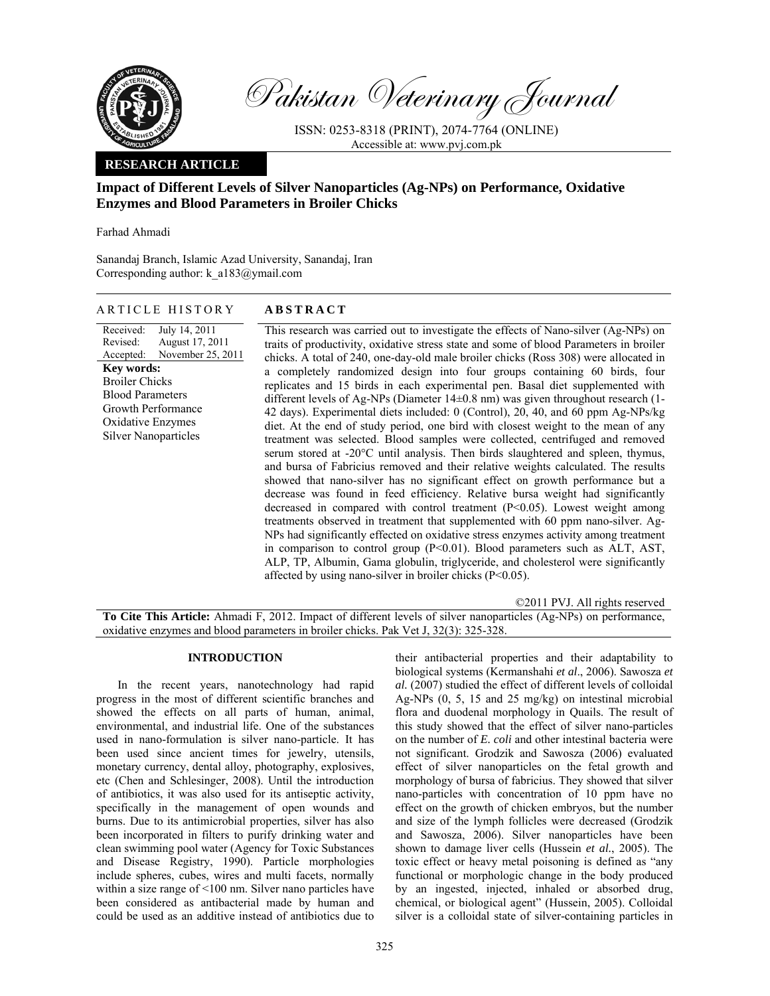

Pakistan Veterinary Journal

ISSN: 0253-8318 (PRINT), 2074-7764 (ONLINE) Accessible at: www.pvj.com.pk

# **RESEARCH ARTICLE**

# **Impact of Different Levels of Silver Nanoparticles (Ag-NPs) on Performance, Oxidative Enzymes and Blood Parameters in Broiler Chicks**

Farhad Ahmadi

Sanandaj Branch, Islamic Azad University, Sanandaj, Iran Corresponding author: k\_a183@ymail.com

# ARTICLE HISTORY **ABSTRACT**

Received: Revised: Accepted: July 14, 2011 August 17, 2011 November 25, 2011 **Key words:**  Broiler Chicks Blood Parameters Growth Performance Oxidative Enzymes Silver Nanoparticles

This research was carried out to investigate the effects of Nano-silver (Ag-NPs) on traits of productivity, oxidative stress state and some of blood Parameters in broiler chicks. A total of 240, one-day-old male broiler chicks (Ross 308) were allocated in a completely randomized design into four groups containing 60 birds, four replicates and 15 birds in each experimental pen. Basal diet supplemented with different levels of Ag-NPs (Diameter 14±0.8 nm) was given throughout research (1- 42 days). Experimental diets included: 0 (Control), 20, 40, and 60 ppm Ag-NPs/kg diet. At the end of study period, one bird with closest weight to the mean of any treatment was selected. Blood samples were collected, centrifuged and removed serum stored at -20°C until analysis. Then birds slaughtered and spleen, thymus, and bursa of Fabricius removed and their relative weights calculated. The results showed that nano-silver has no significant effect on growth performance but a decrease was found in feed efficiency. Relative bursa weight had significantly decreased in compared with control treatment  $(P< 0.05)$ . Lowest weight among treatments observed in treatment that supplemented with 60 ppm nano-silver. Ag-NPs had significantly effected on oxidative stress enzymes activity among treatment in comparison to control group (P<0.01). Blood parameters such as ALT, AST, ALP, TP, Albumin, Gama globulin, triglyceride, and cholesterol were significantly affected by using nano-silver in broiler chicks (P<0.05).

©2011 PVJ. All rights reserved

**To Cite This Article:** Ahmadi F, 2012. Impact of different levels of silver nanoparticles (Ag-NPs) on performance, oxidative enzymes and blood parameters in broiler chicks. Pak Vet J, 32(3): 325-328.

### **INTRODUCTION**

In the recent years, nanotechnology had rapid progress in the most of different scientific branches and showed the effects on all parts of human, animal, environmental, and industrial life. One of the substances used in nano-formulation is silver nano-particle. It has been used since ancient times for jewelry, utensils, monetary currency, dental alloy, photography, explosives, etc (Chen and Schlesinger, 2008). Until the introduction of antibiotics, it was also used for its antiseptic activity, specifically in the management of open wounds and burns. Due to its antimicrobial properties, silver has also been incorporated in filters to purify drinking water and clean swimming pool water (Agency for Toxic Substances and Disease Registry, 1990). Particle morphologies include spheres, cubes, wires and multi facets, normally within a size range of <100 nm. Silver nano particles have been considered as antibacterial made by human and could be used as an additive instead of antibiotics due to

their antibacterial properties and their adaptability to biological systems (Kermanshahi *et al*., 2006). Sawosza *et al.* (2007) studied the effect of different levels of colloidal Ag-NPs (0, 5, 15 and 25 mg/kg) on intestinal microbial flora and duodenal morphology in Quails. The result of this study showed that the effect of silver nano-particles on the number of *E. coli* and other intestinal bacteria were not significant. Grodzik and Sawosza (2006) evaluated effect of silver nanoparticles on the fetal growth and morphology of bursa of fabricius. They showed that silver nano-particles with concentration of 10 ppm have no effect on the growth of chicken embryos, but the number and size of the lymph follicles were decreased (Grodzik and Sawosza, 2006). Silver nanoparticles have been shown to damage liver cells (Hussein *et al.*, 2005). The toxic effect or heavy metal poisoning is defined as "any functional or morphologic change in the body produced by an ingested, injected, inhaled or absorbed drug, chemical, or biological agent" (Hussein, 2005). Colloidal silver is a colloidal state of silver-containing particles in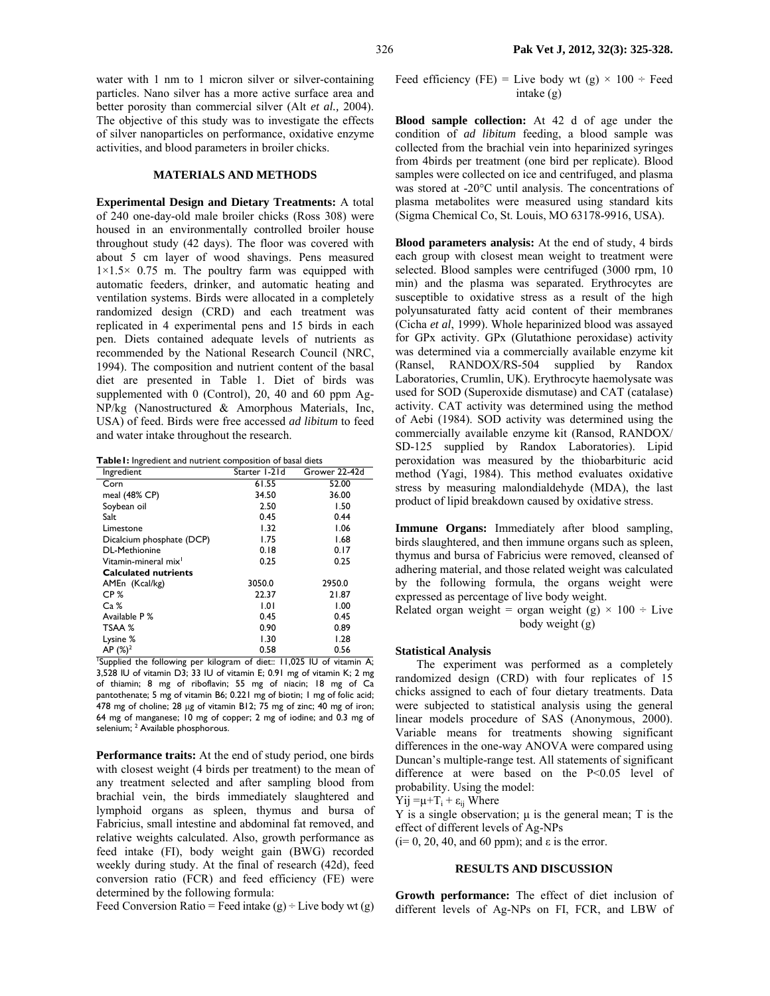water with 1 nm to 1 micron silver or silver-containing particles. Nano silver has a more active surface area and better porosity than commercial silver (Alt *et al.,* 2004). The objective of this study was to investigate the effects of silver nanoparticles on performance, oxidative enzyme activities, and blood parameters in broiler chicks.

#### **MATERIALS AND METHODS**

**Experimental Design and Dietary Treatments:** A total of 240 one-day-old male broiler chicks (Ross 308) were housed in an environmentally controlled broiler house throughout study (42 days). The floor was covered with about 5 cm layer of wood shavings. Pens measured  $1\times1.5\times$  0.75 m. The poultry farm was equipped with automatic feeders, drinker, and automatic heating and ventilation systems. Birds were allocated in a completely randomized design (CRD) and each treatment was replicated in 4 experimental pens and 15 birds in each pen. Diets contained adequate levels of nutrients as recommended by the National Research Council (NRC, 1994). The composition and nutrient content of the basal diet are presented in Table 1. Diet of birds was supplemented with 0 (Control), 20, 40 and 60 ppm Ag-NP/kg (Nanostructured & Amorphous Materials, Inc, USA) of feed. Birds were free accessed *ad libitum* to feed and water intake throughout the research.

**Table1:** Ingredient and nutrient composition of basal diets

| Ingredient                                                             | Starter 1-21d | Grower 22-42d |
|------------------------------------------------------------------------|---------------|---------------|
| Corn                                                                   | 61.55         | 52.00         |
| meal (48% CP)                                                          | 34.50         | 36.00         |
| Soybean oil                                                            | 2.50          | 1.50          |
| Salt                                                                   | 0.45          | 0.44          |
| Limestone                                                              | 1.32          | 1.06          |
| Dicalcium phosphate (DCP)                                              | 1.75          | 1.68          |
| DL-Methionine                                                          | 0.18          | 0.17          |
| Vitamin-mineral mix <sup>1</sup>                                       | 0.25          | 0.25          |
| <b>Calculated nutrients</b>                                            |               |               |
| AMEn (Kcal/kg)                                                         | 3050.0        | 2950.0        |
| CP %                                                                   | 22.37         | 21.87         |
| Ca%                                                                    | 1.01          | 1.00          |
| Available P %                                                          | 0.45          | 0.45          |
| TSAA %                                                                 | 0.90          | 0.89          |
| Lysine %                                                               | 1.30          | 1.28          |
| AP $(\%)^2$                                                            | 0.58          | 0.56          |
| 'Supplied the following per kilogram of diet:: 11,025 IU of vitamin A; |               |               |

3,528 IU of vitamin D3; 33 IU of vitamin E; 0.91 mg of vitamin K; 2 mg of thiamin; 8 mg of riboflavin; 55 mg of niacin; 18 mg of Ca pantothenate; 5 mg of vitamin B6; 0.221 mg of biotin; 1 mg of folic acid; 478 mg of choline; 28 µg of vitamin B12; 75 mg of zinc; 40 mg of iron; 64 mg of manganese; 10 mg of copper; 2 mg of iodine; and 0.3 mg of selenium; <sup>2</sup> Available phosphorous.

**Performance traits:** At the end of study period, one birds with closest weight (4 birds per treatment) to the mean of any treatment selected and after sampling blood from brachial vein, the birds immediately slaughtered and lymphoid organs as spleen, thymus and bursa of Fabricius, small intestine and abdominal fat removed, and relative weights calculated. Also, growth performance as feed intake (FI), body weight gain (BWG) recorded weekly during study. At the final of research (42d), feed conversion ratio (FCR) and feed efficiency (FE) were determined by the following formula:

Feed Conversion Ratio = Feed intake  $(g) \div$  Live body wt  $(g)$ 

### Feed efficiency (FE) = Live body wt (g)  $\times$  100 ÷ Feed intake (g)

**Blood sample collection:** At 42 d of age under the condition of *ad libitum* feeding, a blood sample was collected from the brachial vein into heparinized syringes from 4birds per treatment (one bird per replicate). Blood samples were collected on ice and centrifuged, and plasma was stored at -20°C until analysis. The concentrations of plasma metabolites were measured using standard kits (Sigma Chemical Co, St. Louis, MO 63178-9916, USA).

**Blood parameters analysis:** At the end of study, 4 birds each group with closest mean weight to treatment were selected. Blood samples were centrifuged (3000 rpm, 10 min) and the plasma was separated. Erythrocytes are susceptible to oxidative stress as a result of the high polyunsaturated fatty acid content of their membranes (Cicha *et al*, 1999). Whole heparinized blood was assayed for GPx activity. GPx (Glutathione peroxidase) activity was determined via a commercially available enzyme kit (Ransel, RANDOX/RS-504 supplied by Randox Laboratories, Crumlin, UK). Erythrocyte haemolysate was used for SOD (Superoxide dismutase) and CAT (catalase) activity. CAT activity was determined using the method of Aebi (1984). SOD activity was determined using the commercially available enzyme kit (Ransod, RANDOX/ SD-125 supplied by Randox Laboratories). Lipid peroxidation was measured by the thiobarbituric acid method (Yagi, 1984). This method evaluates oxidative stress by measuring malondialdehyde (MDA), the last product of lipid breakdown caused by oxidative stress.

**Immune Organs:** Immediately after blood sampling, birds slaughtered, and then immune organs such as spleen, thymus and bursa of Fabricius were removed, cleansed of adhering material, and those related weight was calculated by the following formula, the organs weight were expressed as percentage of live body weight.

Related organ weight = organ weight (g)  $\times$  100 ÷ Live body weight (g)

# **Statistical Analysis**

The experiment was performed as a completely randomized design (CRD) with four replicates of 15 chicks assigned to each of four dietary treatments. Data were subjected to statistical analysis using the general linear models procedure of SAS (Anonymous, 2000). Variable means for treatments showing significant differences in the one-way ANOVA were compared using Duncan's multiple-range test. All statements of significant difference at were based on the P<0.05 level of probability. Using the model:

 $Yij = \mu + T_i + \varepsilon_{ij}$  Where

 $Y$  is a single observation;  $\mu$  is the general mean;  $T$  is the effect of different levels of Ag-NPs

 $(i= 0, 20, 40,$  and 60 ppm); and  $\varepsilon$  is the error.

# **RESULTS AND DISCUSSION**

**Growth performance:** The effect of diet inclusion of different levels of Ag-NPs on FI, FCR, and LBW of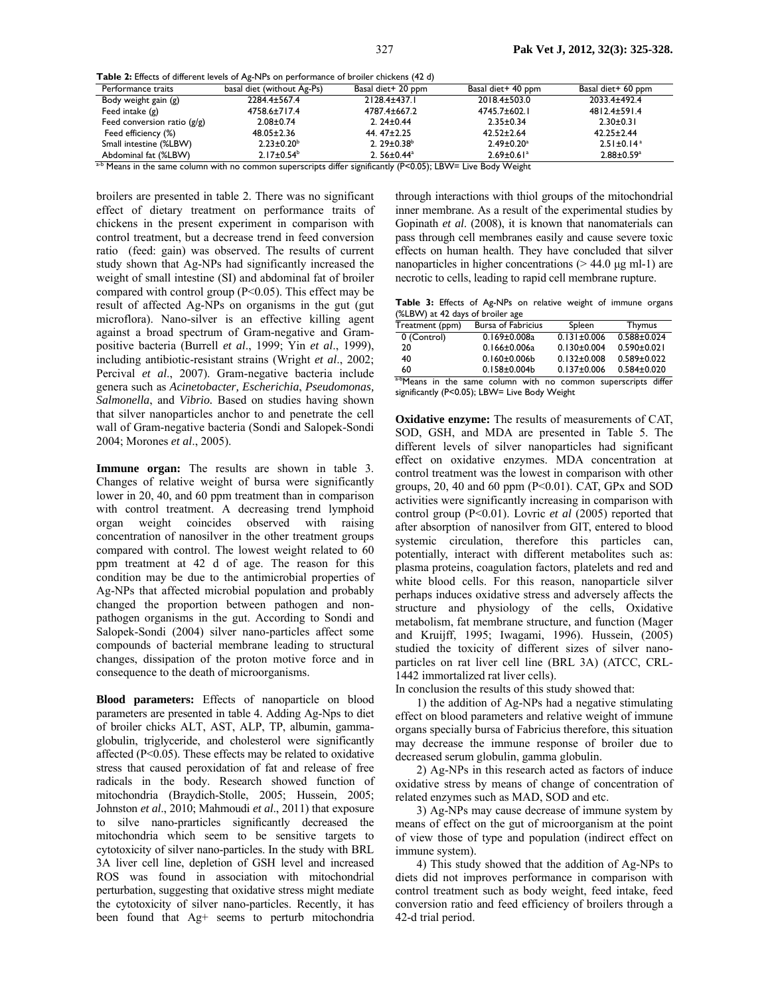**Table 2:** Effects of different levels of Ag-NPs on performance of broiler chickens (42 d)

| <b>TWAIG AT LINCOLD OF GITCH CITC ICTCID OF A GET IT DOIT POLICITION CO. OF OIL OF CHICKCHD THE GI</b> |                            |                              |                              |                              |  |
|--------------------------------------------------------------------------------------------------------|----------------------------|------------------------------|------------------------------|------------------------------|--|
| Performance traits                                                                                     | basal diet (without Ag-Ps) | Basal diet+ 20 ppm           | Basal diet+ 40 ppm           | Basal diet+ 60 ppm           |  |
| Body weight gain (g)                                                                                   | 2284.4±567.4               | $2128.4 + 437.1$             | 2018.4±503.0                 | 2033.4±492.4                 |  |
| Feed intake $(g)$                                                                                      | 4758.6±717.4               | 4787.4±667.2                 | 4745.7±602.1                 | $4812.4 \pm 591.4$           |  |
| Feed conversion ratio $(g/g)$                                                                          | $2.08 \pm 0.74$            | $2.24 \pm 0.44$              | $2.35 \pm 0.34$              | $2.30 \pm 0.31$              |  |
| Feed efficiency (%)                                                                                    | $48.05 \pm 2.36$           | 44.47±2.25                   | $42.52 \pm 2.64$             | $42.25 \pm 2.44$             |  |
| Small intestine (%LBW)                                                                                 | $2.23 \pm 0.20^b$          | $2.29 \pm 0.38^{\circ}$      | $2.49 \pm 0.20^a$            | $2.51 \pm 0.14$ <sup>a</sup> |  |
| Abdominal fat (%LBW)                                                                                   | $2.17 \pm 0.54^b$          | 2.56 $\pm$ 0.44 $\mathrm{a}$ | $2.69 \pm 0.61$ <sup>a</sup> | $2.88 \pm 0.59$ <sup>a</sup> |  |
|                                                                                                        |                            |                              |                              |                              |  |

a-b Means in the same column with no common superscripts differ significantly (P<0.05); LBW= Live Body Weight

broilers are presented in table 2. There was no significant effect of dietary treatment on performance traits of chickens in the present experiment in comparison with control treatment, but a decrease trend in feed conversion ratio (feed: gain) was observed. The results of current study shown that Ag-NPs had significantly increased the weight of small intestine (SI) and abdominal fat of broiler compared with control group  $(P<0.05)$ . This effect may be result of affected Ag-NPs on organisms in the gut (gut microflora). Nano-silver is an effective killing agent against a broad spectrum of Gram-negative and Grampositive bacteria (Burrell *et al*., 1999; Yin *et al*., 1999), including antibiotic-resistant strains (Wright *et al*., 2002; Percival *et al*., 2007). Gram-negative bacteria include genera such as *Acinetobacter, Escherichia*, *Pseudomonas, Salmonella*, and *Vibrio.* Based on studies having shown that silver nanoparticles anchor to and penetrate the cell wall of Gram-negative bacteria (Sondi and Salopek-Sondi 2004; Morones *et al*., 2005).

**Immune organ:** The results are shown in table 3. Changes of relative weight of bursa were significantly lower in 20, 40, and 60 ppm treatment than in comparison with control treatment. A decreasing trend lymphoid organ weight coincides observed with raising concentration of nanosilver in the other treatment groups compared with control. The lowest weight related to 60 ppm treatment at 42 d of age. The reason for this condition may be due to the antimicrobial properties of Ag-NPs that affected microbial population and probably changed the proportion between pathogen and nonpathogen organisms in the gut. According to Sondi and Salopek-Sondi (2004) silver nano-particles affect some compounds of bacterial membrane leading to structural changes, dissipation of the proton motive force and in consequence to the death of microorganisms.

**Blood parameters:** Effects of nanoparticle on blood parameters are presented in table 4. Adding Ag-Nps to diet of broiler chicks ALT, AST, ALP, TP, albumin, gammaglobulin, triglyceride, and cholesterol were significantly affected (P<0.05). These effects may be related to oxidative stress that caused peroxidation of fat and release of free radicals in the body. Research showed function of mitochondria (Braydich-Stolle, 2005; Hussein, 2005; Johnston *et al*., 2010; Mahmoudi *et al*., 2011) that exposure to silve nano-prarticles significantly decreased the mitochondria which seem to be sensitive targets to cytotoxicity of silver nano-particles. In the study with BRL 3A liver cell line, depletion of GSH level and increased ROS was found in association with mitochondrial perturbation, suggesting that oxidative stress might mediate the cytotoxicity of silver nano-particles. Recently, it has been found that Ag+ seems to perturb mitochondria

through interactions with thiol groups of the mitochondrial inner membrane. As a result of the experimental studies by Gopinath *et al*. (2008), it is known that nanomaterials can pass through cell membranes easily and cause severe toxic effects on human health. They have concluded that silver nanoparticles in higher concentrations  $(> 44.0 \mu g$  ml-1) are necrotic to cells, leading to rapid cell membrane rupture.

 **Table 3:** Effects of Ag-NPs on relative weight of immune organs (%LBW) at 42 days of broiler age

| Treatment (ppm) | <b>Bursa of Fabricius</b> | Spleen            | <b>Thymus</b>     |
|-----------------|---------------------------|-------------------|-------------------|
| 0 (Control)     | $0.169 \pm 0.008a$        | $0.131 \pm 0.006$ | $0.588 \pm 0.024$ |
| 20              | $0.166 \pm 0.006a$        | $0.130 \pm 0.004$ | $0.590 \pm 0.021$ |
| 40              | $0.160 \pm 0.006$         | $0.132 \pm 0.008$ | $0.589 \pm 0.022$ |
| 60              | $0.158 \pm 0.004$         | $0.137 \pm 0.006$ | $0.584 \pm 0.020$ |
| 2.55.4          |                           |                   | $\cdots$          |

a-bMeans in the same column with no common superscripts differ significantly (P<0.05); LBW= Live Body Weight

**Oxidative enzyme:** The results of measurements of CAT, SOD, GSH, and MDA are presented in Table 5. The different levels of silver nanoparticles had significant effect on oxidative enzymes. MDA concentration at control treatment was the lowest in comparison with other groups,  $20$ ,  $40$  and  $60$  ppm (P<0.01). CAT, GPx and SOD activities were significantly increasing in comparison with control group (P<0.01). Lovric *et al* (2005) reported that after absorption of nanosilver from GIT, entered to blood systemic circulation, therefore this particles can, potentially, interact with different metabolites such as: plasma proteins, coagulation factors, platelets and red and white blood cells. For this reason, nanoparticle silver perhaps induces oxidative stress and adversely affects the structure and physiology of the cells, Oxidative metabolism, fat membrane structure, and function (Mager and Kruijff, 1995; Iwagami, 1996). Hussein, (2005) studied the toxicity of different sizes of silver nanoparticles on rat liver cell line (BRL 3A) (ATCC, CRL-1442 immortalized rat liver cells).

In conclusion the results of this study showed that:

1) the addition of Ag-NPs had a negative stimulating effect on blood parameters and relative weight of immune organs specially bursa of Fabricius therefore, this situation may decrease the immune response of broiler due to decreased serum globulin, gamma globulin.

2) Ag-NPs in this research acted as factors of induce oxidative stress by means of change of concentration of related enzymes such as MAD, SOD and etc.

3) Ag-NPs may cause decrease of immune system by means of effect on the gut of microorganism at the point of view those of type and population (indirect effect on immune system).

4) This study showed that the addition of Ag-NPs to diets did not improves performance in comparison with control treatment such as body weight, feed intake, feed conversion ratio and feed efficiency of broilers through a 42-d trial period.